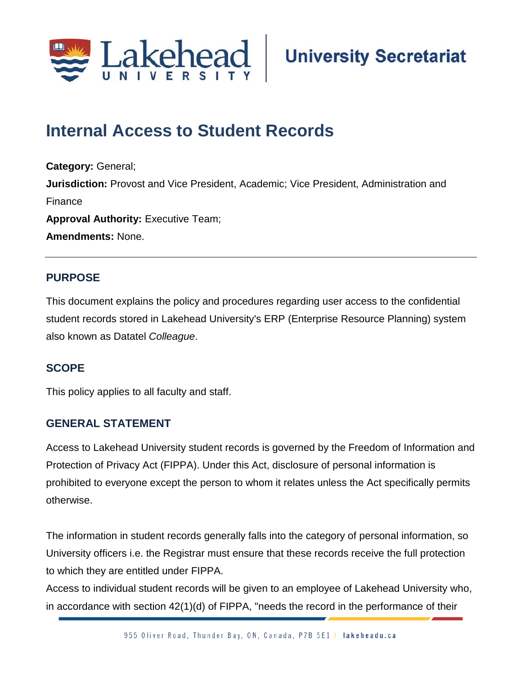

# **Internal Access to Student Records**

**Category:** General; **Jurisdiction:** Provost and Vice President, Academic; Vice President, Administration and Finance **Approval Authority: Executive Team; Amendments:** None.

## **PURPOSE**

This document explains the policy and procedures regarding user access to the confidential student records stored in Lakehead University's ERP (Enterprise Resource Planning) system also known as Datatel *Colleague*.

## **SCOPE**

This policy applies to all faculty and staff.

#### **GENERAL STATEMENT**

Access to Lakehead University student records is governed by the Freedom of Information and Protection of Privacy Act (FIPPA). Under this Act, disclosure of personal information is prohibited to everyone except the person to whom it relates unless the Act specifically permits otherwise.

The information in student records generally falls into the category of personal information, so University officers i.e. the Registrar must ensure that these records receive the full protection to which they are entitled under FIPPA.

Access to individual student records will be given to an employee of Lakehead University who, in accordance with section 42(1)(d) of FIPPA, "needs the record in the performance of their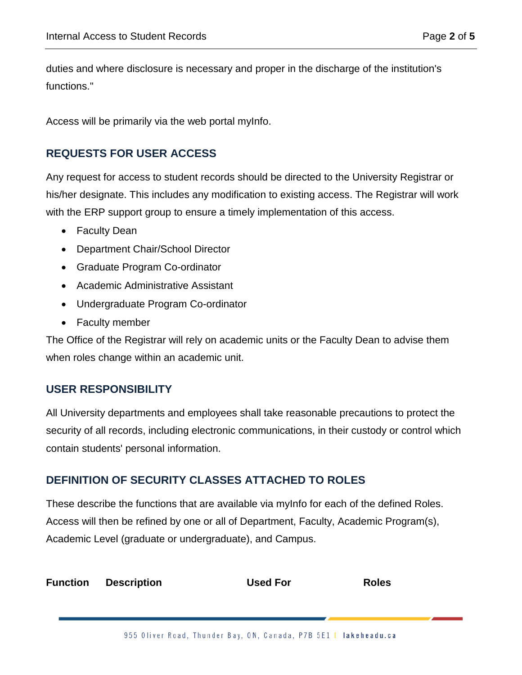duties and where disclosure is necessary and proper in the discharge of the institution's functions."

Access will be primarily via the web portal myInfo.

#### **REQUESTS FOR USER ACCESS**

Any request for access to student records should be directed to the University Registrar or his/her designate. This includes any modification to existing access. The Registrar will work with the ERP support group to ensure a timely implementation of this access.

- Faculty Dean
- Department Chair/School Director
- Graduate Program Co-ordinator
- Academic Administrative Assistant
- Undergraduate Program Co-ordinator
- Faculty member

The Office of the Registrar will rely on academic units or the Faculty Dean to advise them when roles change within an academic unit.

#### **USER RESPONSIBILITY**

All University departments and employees shall take reasonable precautions to protect the security of all records, including electronic communications, in their custody or control which contain students' personal information.

## **DEFINITION OF SECURITY CLASSES ATTACHED TO ROLES**

These describe the functions that are available via myInfo for each of the defined Roles. Access will then be refined by one or all of Department, Faculty, Academic Program(s), Academic Level (graduate or undergraduate), and Campus.

| <b>Function</b> | <b>Description</b> | <b>Used For</b> | <b>Roles</b> |
|-----------------|--------------------|-----------------|--------------|
|-----------------|--------------------|-----------------|--------------|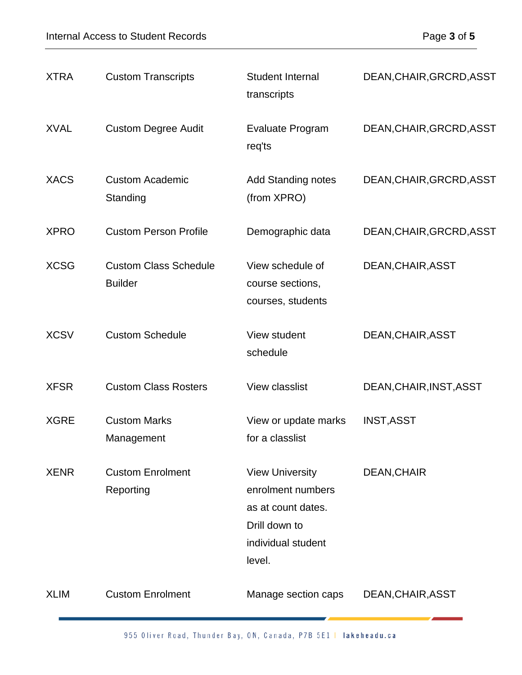| <b>XTRA</b> | <b>Custom Transcripts</b>                      | <b>Student Internal</b><br>transcripts                                                                             | DEAN, CHAIR, GRCRD, ASST |
|-------------|------------------------------------------------|--------------------------------------------------------------------------------------------------------------------|--------------------------|
| <b>XVAL</b> | <b>Custom Degree Audit</b>                     | Evaluate Program<br>req'ts                                                                                         | DEAN, CHAIR, GRCRD, ASST |
| <b>XACS</b> | <b>Custom Academic</b><br>Standing             | <b>Add Standing notes</b><br>(from XPRO)                                                                           | DEAN, CHAIR, GRCRD, ASST |
| <b>XPRO</b> | <b>Custom Person Profile</b>                   | Demographic data                                                                                                   | DEAN, CHAIR, GRCRD, ASST |
| <b>XCSG</b> | <b>Custom Class Schedule</b><br><b>Builder</b> | View schedule of<br>course sections,<br>courses, students                                                          | DEAN, CHAIR, ASST        |
| <b>XCSV</b> | <b>Custom Schedule</b>                         | View student<br>schedule                                                                                           | DEAN, CHAIR, ASST        |
| <b>XFSR</b> | <b>Custom Class Rosters</b>                    | View classlist                                                                                                     | DEAN, CHAIR, INST, ASST  |
| <b>XGRE</b> | <b>Custom Marks</b><br>Management              | View or update marks<br>for a classlist                                                                            | <b>INST, ASST</b>        |
| <b>XENR</b> | <b>Custom Enrolment</b><br>Reporting           | <b>View University</b><br>enrolment numbers<br>as at count dates.<br>Drill down to<br>individual student<br>level. | DEAN, CHAIR              |
| <b>XLIM</b> | <b>Custom Enrolment</b>                        | Manage section caps                                                                                                | DEAN, CHAIR, ASST        |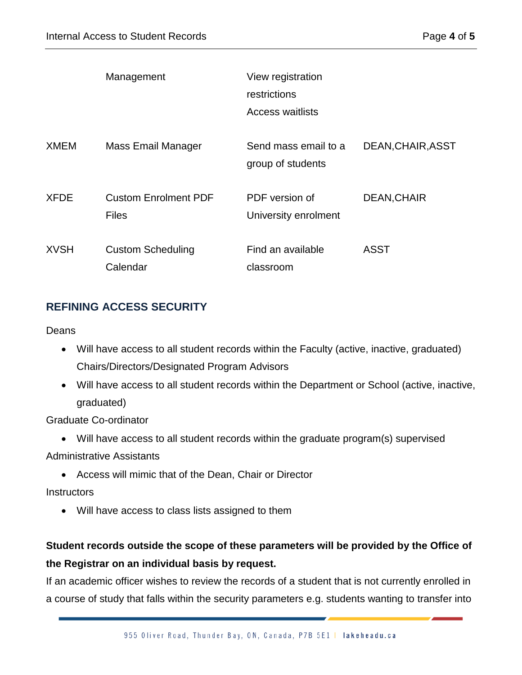|             | Management                                  | View registration<br>restrictions<br>Access waitlists |                   |
|-------------|---------------------------------------------|-------------------------------------------------------|-------------------|
| <b>XMEM</b> | Mass Email Manager                          | Send mass email to a<br>group of students             | DEAN, CHAIR, ASST |
| <b>XFDE</b> | <b>Custom Enrolment PDF</b><br><b>Files</b> | PDF version of<br>University enrolment                | DEAN, CHAIR       |
| <b>XVSH</b> | <b>Custom Scheduling</b><br>Calendar        | Find an available<br>classroom                        | <b>ASST</b>       |

## **REFINING ACCESS SECURITY**

#### Deans

- Will have access to all student records within the Faculty (active, inactive, graduated) Chairs/Directors/Designated Program Advisors
- Will have access to all student records within the Department or School (active, inactive, graduated)

Graduate Co-ordinator

• Will have access to all student records within the graduate program(s) supervised

Administrative Assistants

• Access will mimic that of the Dean, Chair or Director

#### **Instructors**

• Will have access to class lists assigned to them

## **Student records outside the scope of these parameters will be provided by the Office of the Registrar on an individual basis by request.**

If an academic officer wishes to review the records of a student that is not currently enrolled in a course of study that falls within the security parameters e.g. students wanting to transfer into